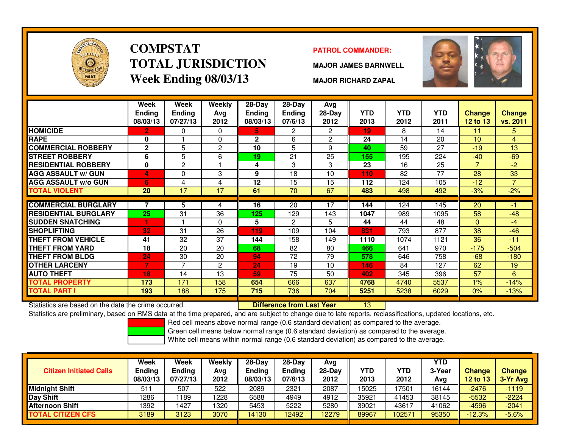

# **COMPSTATTOTAL JURISDICTIONWeek Ending 08/03/13**

### **PATROL COMMANDER:**

**MAJOR JAMES BARNWELL**



**MAJOR RICHARD ZAPAL**

|                             | Week<br><b>Ending</b><br>08/03/13 | <b>Week</b><br><b>Ending</b><br>07/27/13 | Weekly<br>Avg<br>2012 | $28$ -Day<br>Endina<br>08/03/13 | $28$ -Day<br><b>Ending</b><br>07/6/13 | Avg<br>$28-Day$<br>2012 | <b>YTD</b><br>2013 | <b>YTD</b><br>2012 | <b>YTD</b><br>2011 | Change<br>12 to 13 | <b>Change</b><br>vs. 2011 |
|-----------------------------|-----------------------------------|------------------------------------------|-----------------------|---------------------------------|---------------------------------------|-------------------------|--------------------|--------------------|--------------------|--------------------|---------------------------|
| <b>HOMICIDE</b>             | 2                                 | 0                                        | $\Omega$              | 5.                              | $\overline{2}$                        | $\overline{2}$          | 19                 | 8                  | 14                 | 11                 | 5                         |
| <b>RAPE</b>                 | 0                                 |                                          | $\Omega$              | $\mathbf{2}$                    | 6                                     | $\overline{2}$          | 24                 | 14                 | 20                 | 10                 | $\overline{4}$            |
| <b>COMMERCIAL ROBBERY</b>   | $\overline{2}$                    | 5                                        | $\overline{c}$        | 10                              | 5                                     | 9                       | 40                 | 59                 | 27                 | $-19$              | 13                        |
| <b>STREET ROBBERY</b>       | 6                                 | 5                                        | 6                     | 19                              | 21                                    | 25                      | 155                | 195                | 224                | $-40$              | $-69$                     |
| <b>RESIDENTIAL ROBBERY</b>  | 0                                 | $\mathbf{2}$                             |                       | 4                               | 3                                     | 3                       | 23                 | 16                 | 25                 | $\overline{7}$     | $-2$                      |
| <b>AGG ASSAULT w/ GUN</b>   | 4                                 | 0                                        | 3                     | 9                               | 18                                    | 10                      | 110                | 82                 | 77                 | 28                 | 33                        |
| <b>AGG ASSAULT w/o GUN</b>  | 6                                 | 4                                        | 4                     | 12                              | 15                                    | 15                      | 112                | 124                | 105                | $-12$              | 7                         |
| <b>TOTAL VIOLENT</b>        | 20                                | 17                                       | 17                    | 61                              | 70                                    | 67                      | 483                | 498                | 492                | $-3%$              | $-2%$                     |
|                             |                                   |                                          |                       |                                 |                                       |                         |                    |                    |                    |                    |                           |
| <b>COMMERCIAL BURGLARY</b>  |                                   | 5                                        | 4                     | 16                              | 20                                    | 17                      | 144                | 124                | 145                | 20                 | -1                        |
| <b>RESIDENTIAL BURGLARY</b> | 25                                | 31                                       | 36                    | 125                             | 129                                   | 143                     | 1047               | 989                | 1095               | 58                 | $-48$                     |
| <b>SUDDEN SNATCHING</b>     | 1                                 |                                          | $\Omega$              | 5                               | $\overline{2}$                        | 5                       | 44                 | 44                 | 48                 | $\mathbf{0}$       | $-4$                      |
| <b>SHOPLIFTING</b>          | 32                                | 31                                       | 26                    | 119                             | 109                                   | 104                     | 831                | 793                | 877                | 38                 | $-46$                     |
| <b>THEFT FROM VEHICLE</b>   | 41                                | 32                                       | 37                    | 144                             | 158                                   | 149                     | 1110               | 1074               | 1121               | 36                 | $-11$                     |
| THEFT FROM YARD             | 18                                | 20                                       | 20                    | 68                              | 82                                    | 80                      | 466                | 641                | 970                | $-175$             | $-504$                    |
| THEFT FROM BLDG             | 24                                | 30                                       | 20                    | 94                              | 72                                    | 79                      | 578                | 646                | 758                | $-68$              | $-180$                    |
| <b>OTHER LARCENY</b>        |                                   | 7                                        | 2                     | 24                              | 19                                    | 10                      | 146                | 84                 | 127                | 62                 | 19                        |
| <b>AUTO THEFT</b>           | 18                                | 14                                       | 13                    | 59                              | 75                                    | 50                      | 402                | 345                | 396                | 57                 | 6                         |
| <b>TOTAL PROPERTY</b>       | 173                               | 171                                      | 158                   | 654                             | 666                                   | 637                     | 4768               | 4740               | 5537               | $1\%$              | $-14%$                    |
| TOTAL PART I                | 193                               | 188                                      | 175                   | 715                             | 736                                   | 704                     | 5251               | 5238               | 6029               | $0\%$              | $-13%$                    |

Statistics are based on the date the crime occurred. **Difference from Last Year** 

Statistics are based on the date the crime occurred. **[18] Luident Luiden Last Year 13 Luiden 13** Luident Dated Iocations, etc.<br>Statistics are preliminary, based on RMS data at the time prepared, and are subject to change

Red cell means above normal range (0.6 standard deviation) as compared to the average.

Green cell means below normal range (0.6 standard deviation) as compared to the average.

| <b>Citizen Initiated Calls</b> | Week<br><b>Ending</b><br>08/03/13 | <b>Week</b><br><b>Ending</b><br>07/27/13 | Weekly<br>Avg<br>2012 | $28-Dav$<br><b>Ending</b><br>08/03/13 | $28-Dav$<br>Ending<br>07/6/13 | Avg<br>$28-Day$<br>2012 | <b>YTD</b><br>2013 | YTD<br>2012 | YTD<br>3-Year<br>Avg | <b>Change</b><br><b>12 to 13</b> | Change<br>3-Yr Avg |
|--------------------------------|-----------------------------------|------------------------------------------|-----------------------|---------------------------------------|-------------------------------|-------------------------|--------------------|-------------|----------------------|----------------------------------|--------------------|
| <b>I</b> Midniaht Shift        | 51                                | 507                                      | 522                   | 2089                                  | 2321                          | 2087                    | 15025              | 17501       | 16144                | $-2476$                          | $-1119$            |
| Day Shift                      | 1286                              | 189                                      | 1228                  | 6588                                  | 4949                          | 4912                    | 35921              | 41453       | 38145                | $-5532$                          | $-2224$            |
| <b>Afternoon Shift</b>         | 1392                              | 427ء                                     | 1320                  | 5453                                  | 5222                          | 5280                    | 39021              | 43617       | 41062                | -4596                            | $-2041$            |
| TOTAL CITIZEN CFS              | 3189                              | 3123                                     | 3070                  | 4130                                  | 12492                         | 12279                   | 89967              | 102571      | 95350                | $-12.3%$                         | $-5.6%$            |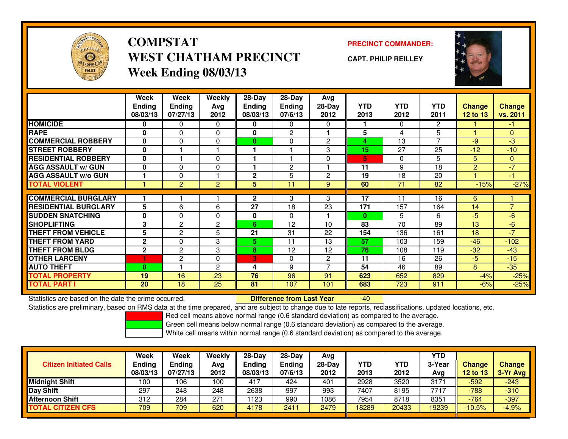

## **COMPSTATPRECINCT COMMANDER:**<br>
PRECINCT COMMANDER: **WEST CHATHAM PRECINCTWeek Ending 08/03/13**

**CAPT. PHILIP REILLEY**



|                             | Week<br><b>Ending</b> | <b>Week</b><br><b>Ending</b> | <b>Weekly</b><br>Avg | $28$ -Day<br><b>Ending</b> | 28-Day<br><b>Ending</b> | Avg<br>28-Day  | <b>YTD</b> | <b>YTD</b>      | <b>YTD</b>     | <b>Change</b>   | <b>Change</b>  |
|-----------------------------|-----------------------|------------------------------|----------------------|----------------------------|-------------------------|----------------|------------|-----------------|----------------|-----------------|----------------|
|                             | 08/03/13              | 07/27/13                     | 2012                 | 08/03/13                   | 07/6/13                 | 2012           | 2013       | 2012            | 2011           | <b>12 to 13</b> | vs. 2011       |
| <b>HOMICIDE</b>             | 0                     | 0                            | $\Omega$             | 0                          | 0                       | $\Omega$       |            | $\Omega$        | $\mathbf{2}$   |                 | -1             |
| <b>RAPE</b>                 | $\mathbf{0}$          | 0                            | $\Omega$             | $\mathbf{0}$               | $\overline{2}$          |                | 5          | 4               | 5              |                 | $\Omega$       |
| <b>COMMERCIAL ROBBERY</b>   | 0                     | 0                            | 0                    | $\bf{0}$                   | $\Omega$                | $\overline{2}$ | 4          | 13              | $\overline{7}$ | $-9$            | $-3$           |
| <b>STREET ROBBERY</b>       | $\bf{0}$              |                              |                      |                            |                         | 3              | 15         | 27              | 25             | $-12$           | $-10$          |
| <b>RESIDENTIAL ROBBERY</b>  | 0                     |                              | $\Omega$             |                            |                         | $\Omega$       | 5          | $\Omega$        | 5              | 5               | $\mathbf{0}$   |
| <b>AGG ASSAULT w/ GUN</b>   | $\bf{0}$              | $\Omega$                     | 0                    |                            | $\mathbf{2}$            |                | 11         | 9               | 18             | $\overline{2}$  | $-7$           |
| <b>AGG ASSAULT w/o GUN</b>  |                       | 0                            |                      | $\mathbf{2}$               | 5                       | $\overline{2}$ | 19         | 18              | 20             |                 | $-1$           |
| <b>TOTAL VIOLENT</b>        | 1                     | $\overline{2}$               | $\overline{2}$       | 5                          | 11                      | 9              | 60         | $\overline{71}$ | 82             | $-15%$          | $-27%$         |
|                             |                       |                              |                      |                            |                         |                |            |                 |                |                 |                |
| <b>COMMERCIAL BURGLARY</b>  |                       |                              |                      | $\mathbf{2}$               | 3                       | 3              | 17         | 11              | 16             | 6               |                |
| <b>RESIDENTIAL BURGLARY</b> | 5                     | 6                            | 6                    | 27                         | 18                      | 23             | 171        | 157             | 164            | 14              | $\overline{7}$ |
| <b>SUDDEN SNATCHING</b>     | $\mathbf 0$           | 0                            | 0                    | 0                          | $\Omega$                |                | $\bf{0}$   | 5               | 6              | $-5$            | $-6$           |
| <b>SHOPLIFTING</b>          | 3                     | 2                            | 2                    | 6                          | 12                      | 10             | 83         | 70              | 89             | 13              | $-6$           |
| <b>THEFT FROM VEHICLE</b>   | 5                     | $\overline{2}$               | 5                    | 21                         | 31                      | 22             | 154        | 136             | 161            | 18              | $-7$           |
| THEFT FROM YARD             | $\mathbf 2$           | 0                            | 3                    | 5                          | 11                      | 13             | 57         | 103             | 159            | $-46$           | $-102$         |
| <b>THEFT FROM BLDG</b>      | $\mathbf 2$           | 2                            | 3                    | 8                          | 12                      | 12             | 76         | 108             | 119            | $-32$           | $-43$          |
| <b>OTHER LARCENY</b>        | н                     | $\overline{2}$               | $\Omega$             | 3                          | $\Omega$                | $\overline{2}$ | 11         | 16              | 26             | $-5$            | $-15$          |
| <b>AUTO THEFT</b>           | $\bf{0}$              |                              | 2                    | 4                          | 9                       | ⇁              | 54         | 46              | 89             | 8               | $-35$          |
| <b>TOTAL PROPERTY</b>       | 19                    | 16                           | 23                   | 76                         | 96                      | 91             | 623        | 652             | 829            | $-4%$           | $-25%$         |
| <b>TOTAL PART I</b>         | <b>20</b>             | 18                           | 25                   | 81                         | 107                     | 101            | 683        | 723             | 911            | $-6%$           | $-25%$         |

Statistics are based on the date the crime occurred. **Difference from Last Year** 

-40

Statistics are preliminary, based on RMS data at the time prepared, and are subject to change due to late reports, reclassifications, updated locations, etc.

Red cell means above normal range (0.6 standard deviation) as compared to the average.

Green cell means below normal range (0.6 standard deviation) as compared to the average.

| <b>Citizen Initiated Calls</b> | Week<br><b>Ending</b><br>08/03/13 | Week<br>Ending<br>07/27/13 | <b>Weekly</b><br>Avg<br>2012 | $28-Day$<br><b>Ending</b><br>08/03/13 | $28$ -Dav<br><b>Endina</b><br>07/6/13 | Avg<br>28-Day<br>2012 | YTD<br>2013 | YTD<br>2012 | <b>YTD</b><br>3-Year<br>Avg | Change<br>12 to 13 | <b>Change</b><br>3-Yr Avg |
|--------------------------------|-----------------------------------|----------------------------|------------------------------|---------------------------------------|---------------------------------------|-----------------------|-------------|-------------|-----------------------------|--------------------|---------------------------|
| <b>Midnight Shift</b>          | 100                               | 106                        | 100                          | 417                                   | 424                                   | 401                   | 2928        | 3520        | 3171                        | $-592$             | $-243$                    |
| <b>IDay Shift</b>              | 297                               | 248                        | 248                          | 2638                                  | 997                                   | 993                   | 7407        | 8195        | 7717                        | $-788$             | $-310$                    |
| Afternoon Shift                | 312                               | 284                        | 271                          | 1123                                  | 990                                   | 1086                  | 7954        | 8718        | 8351                        | $-764$             | $-397$                    |
| <b>TOTAL CITIZEN CFS</b>       | 709                               | 709                        | 620                          | 4178                                  | 2411                                  | 2479                  | 18289       | 20433       | 19239                       | $-10.5%$           | $-4.9%$                   |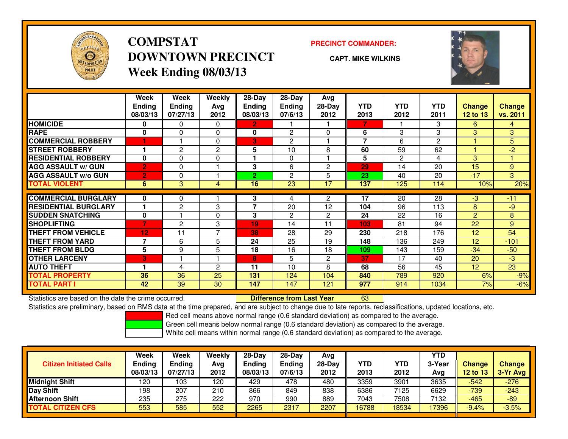

# **COMPSTATDOWNTOWN PRECINCTWeek Ending 08/03/13**

### **PRECINCT COMMANDER:**

**CAPT. MIKE WILKINS**

<sup>63</sup>



|                             | Week<br><b>Ending</b><br>08/03/13 | Week<br><b>Ending</b><br>07/27/13 | Weekly<br>Ava<br>2012 | 28-Day<br>Ending<br>08/03/13 | $28$ -Day<br><b>Endina</b><br>07/6/13 | Avg<br>$28-Day$<br>2012 | <b>YTD</b><br>2013 | <b>YTD</b><br>2012 | <b>YTD</b><br>2011 | <b>Change</b><br>12 to 13 | <b>Change</b><br>vs. 2011 |
|-----------------------------|-----------------------------------|-----------------------------------|-----------------------|------------------------------|---------------------------------------|-------------------------|--------------------|--------------------|--------------------|---------------------------|---------------------------|
| <b>HOMICIDE</b>             | 0                                 | 0                                 | $\Omega$              | $\overline{2}$               |                                       |                         | 7                  |                    | 3                  | 6                         | 4                         |
| <b>RAPE</b>                 | 0                                 | 0                                 | 0                     | 0                            | $\overline{c}$                        | $\Omega$                | 6                  | 3                  | 3                  | 3                         | 3                         |
| <b>COMMERCIAL ROBBERY</b>   | 1                                 |                                   | $\Omega$              | 3                            | $\overline{2}$                        |                         | $\overline{7}$     | 6                  | $\overline{c}$     |                           | 5                         |
| <b>STREET ROBBERY</b>       |                                   | 2                                 | 2                     | 5                            | 10                                    | 8                       | 60                 | 59                 | 62                 |                           | $-2$                      |
| <b>RESIDENTIAL ROBBERY</b>  | $\bf{0}$                          | 0                                 | 0                     |                              | $\Omega$                              |                         | 5                  | 2                  | 4                  | 3                         |                           |
| <b>AGG ASSAULT w/ GUN</b>   | $\overline{2}$                    | 0                                 |                       | 3                            | 6                                     | $\overline{c}$          | 29                 | 14                 | 20                 | 15                        | 9                         |
| <b>AGG ASSAULT w/o GUN</b>  | $\overline{2}$                    | 0                                 |                       | $\overline{2}$               | 2                                     | 5                       | 23                 | 40                 | 20                 | $-17$                     | 3                         |
| <b>TOTAL VIOLENT</b>        | 6                                 | 3                                 | 4                     | 16                           | 23                                    | 17                      | 137                | 125                | 114                | 10%                       | 20%                       |
| <b>COMMERCIAL BURGLARY</b>  | 0                                 | 0                                 |                       | 3                            | 4                                     | 2                       | 17                 | 20                 | 28                 | $-3$                      | $-11$                     |
| <b>RESIDENTIAL BURGLARY</b> |                                   |                                   | 3                     | $\overline{\phantom{a}}$     | 20                                    | 12                      | 104                | 96                 | 113                | 8                         | $-9$                      |
|                             |                                   | 2                                 |                       |                              |                                       |                         |                    |                    |                    |                           |                           |
| <b>SUDDEN SNATCHING</b>     | $\mathbf 0$                       |                                   | $\Omega$              | 3                            | $\overline{2}$                        | $\overline{c}$          | 24                 | 22                 | 16                 | $\overline{2}$            | 8                         |
| <b>SHOPLIFTING</b>          | 7                                 | 2                                 | 3                     | 19                           | 14                                    | 11                      | 103                | 81                 | 94                 | 22                        | 9                         |
| <b>THEFT FROM VEHICLE</b>   | 12                                | 11                                | 7                     | 38                           | 28                                    | 29                      | 230                | 218                | 176                | 12                        | 54                        |
| <b>THEFT FROM YARD</b>      | 7                                 | 6                                 | 5                     | 24                           | 25                                    | 19                      | 148                | 136                | 249                | 12                        | $-101$                    |
| <b>THEFT FROM BLDG</b>      | 5                                 | 9                                 | 5                     | 18                           | 16                                    | 18                      | 109                | 143                | 159                | $-34$                     | $-50$                     |
| <b>OTHER LARCENY</b>        | 3                                 |                                   |                       | 8                            | 5                                     | $\overline{c}$          | 37                 | 17                 | 40                 | 20                        | $-3$                      |
| <b>AUTO THEFT</b>           |                                   | 4                                 | $\overline{c}$        | 11                           | 10                                    | 8                       | 68                 | 56                 | 45                 | 12                        | 23                        |
| <b>TOTAL PROPERTY</b>       | 36                                | 36                                | 25                    | 131                          | 124                                   | 104                     | 840                | 789                | 920                | 6%                        | $-9%$                     |
| <b>TOTAL PART I</b>         | 42                                | 39                                | 30                    | 147                          | 147                                   | 121                     | 977                | 914                | 1034               | 7%                        | $-6%$                     |

Statistics are based on the date the crime occurred. **Difference from Last Year** 

Statistics are preliminary, based on RMS data at the time prepared, and are subject to change due to late reports, reclassifications, updated locations, etc.

Red cell means above normal range (0.6 standard deviation) as compared to the average.

Green cell means below normal range (0.6 standard deviation) as compared to the average.

| <b>Citizen Initiated Calls</b> | Week<br><b>Ending</b><br>08/03/13 | Week<br>Ending<br>07/27/13 | Weekly<br>Avg<br>2012 | $28-Day$<br><b>Ending</b><br>08/03/13 | $28-Day$<br>Ending<br>07/6/13 | Avg<br>$28-Dav$<br>2012 | <b>YTD</b><br>2013 | YTD<br>2012 | <b>YTD</b><br>3-Year<br>Avg | Change<br>12 to 13 | <b>Change</b><br>$3-Yr$ Avg |
|--------------------------------|-----------------------------------|----------------------------|-----------------------|---------------------------------------|-------------------------------|-------------------------|--------------------|-------------|-----------------------------|--------------------|-----------------------------|
| <b>Midnight Shift</b>          | 120                               | 103                        | 120                   | 429                                   | 478                           | 480                     | 3359               | 3901        | 3635                        | $-542$             | $-276$                      |
| Day Shift                      | 198                               | 207                        | 210                   | 866                                   | 849                           | 838                     | 6386               | 7125        | 6629                        | $-739$             | $-243$                      |
| <b>Afternoon Shift</b>         | 235                               | 275                        | 222                   | 970                                   | 990                           | 889                     | 7043               | 7508        | 7132                        | -465               | $-89$                       |
| <b>TOTAL CITIZEN CFS</b>       | 553                               | 585                        | 552                   | 2265                                  | 2317                          | 2207                    | 16788              | 18534       | 7396                        | $-9.4%$            | $-3.5%$                     |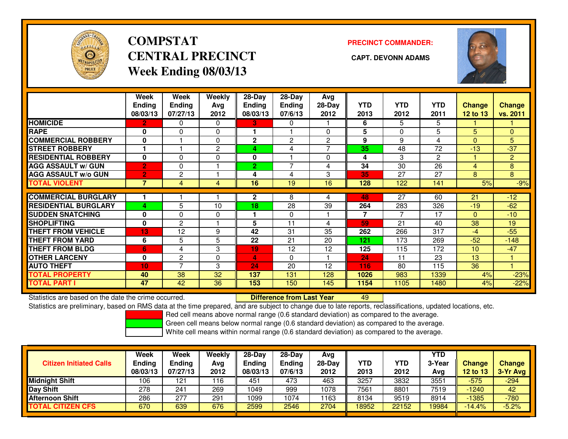

# **COMPSTATCENTRAL PRECINCT CAPT. DEVONN ADAMSWeek Ending 08/03/13**

**PRECINCT COMMANDER:**



|                             | Week<br><b>Ending</b><br>08/03/13 | Week<br><b>Ending</b><br>07/27/13 | <b>Weekly</b><br>Ava<br>2012 | $28$ -Day<br>Endina<br>08/03/13 | $28$ -Day<br><b>Ending</b><br>07/6/13 | Avg<br>$28-Day$<br>2012 | <b>YTD</b><br>2013 | <b>YTD</b><br>2012 | <b>YTD</b><br>2011 | <b>Change</b><br><b>12 to 13</b> | <b>Change</b><br>vs. 2011 |
|-----------------------------|-----------------------------------|-----------------------------------|------------------------------|---------------------------------|---------------------------------------|-------------------------|--------------------|--------------------|--------------------|----------------------------------|---------------------------|
| <b>HOMICIDE</b>             | $\mathbf{2}$                      | 0                                 | $\Omega$                     | 3.                              | 0                                     |                         | 6                  | 5                  | 5                  |                                  |                           |
| <b>RAPE</b>                 | $\bf{0}$                          | 0                                 | $\Omega$                     |                                 |                                       | $\Omega$                | 5                  | $\Omega$           | 5                  | 5                                | $\Omega$                  |
| <b>COMMERCIAL ROBBERY</b>   | 0                                 |                                   | $\Omega$                     | $\mathbf{2}$                    | $\overline{2}$                        | $\overline{2}$          | 9                  | 9                  | 4                  | $\mathbf{0}$                     | 5                         |
| <b>STREET ROBBERY</b>       |                                   |                                   | 2                            | 4                               | 4                                     | 7                       | 35                 | 48                 | 72                 | $-13$                            | $-37$                     |
| <b>RESIDENTIAL ROBBERY</b>  | $\bf{0}$                          | 0                                 | $\Omega$                     | $\mathbf{0}$                    |                                       | $\Omega$                | 4                  | 3                  | $\overline{2}$     |                                  | $\overline{2}$            |
| <b>AGG ASSAULT w/ GUN</b>   | $\overline{2}$                    | 0                                 |                              | $\overline{2}$                  | $\overline{\phantom{0}}$              | 4                       | 34                 | 30                 | 26                 | 4                                | 8                         |
| <b>AGG ASSAULT w/o GUN</b>  | $\overline{2}$                    | 2                                 |                              | 4                               | 4                                     | 3                       | 35                 | 27                 | 27                 | 8                                | 8                         |
| <b>TOTAL VIOLENT</b>        | 7                                 | 4                                 | 4                            | 16                              | 19                                    | 16                      | 128                | 122                | 141                | 5%                               | $-9%$                     |
|                             |                                   |                                   |                              |                                 |                                       |                         |                    |                    |                    |                                  |                           |
| <b>COMMERCIAL BURGLARY</b>  |                                   |                                   |                              | $\mathbf{2}$                    | 8                                     | 4                       | 48                 | 27                 | 60                 | 21                               | $-12$                     |
| <b>RESIDENTIAL BURGLARY</b> | 4                                 | 5                                 | 10                           | 18                              | 28                                    | 39                      | 264                | 283                | 326                | $-19$                            | $-62$                     |
| <b>SUDDEN SNATCHING</b>     | $\bf{0}$                          | 0                                 | $\Omega$                     |                                 | $\Omega$                              |                         | 7                  | 7                  | 17                 | $\mathbf{0}$                     | $-10$                     |
| <b>SHOPLIFTING</b>          | 0                                 | 2                                 |                              | 5                               | 11                                    | 4                       | 59                 | 21                 | 40                 | 38                               | 19                        |
| <b>THEFT FROM VEHICLE</b>   | 13                                | 12                                | 9                            | 42                              | 31                                    | 35                      | 262                | 266                | 317                | $-4$                             | $-55$                     |
| <b>THEFT FROM YARD</b>      | 6                                 | 5                                 | 5                            | 22                              | 21                                    | 20                      | 121                | 173                | 269                | $-52$                            | $-148$                    |
| <b>THEFT FROM BLDG</b>      | 6                                 | 4                                 | 3                            | 19                              | 12                                    | 12                      | 125                | 115                | 172                | 10                               | $-47$                     |
| <b>OTHER LARCENY</b>        | $\bf{0}$                          | $\overline{2}$                    | 0                            | 4                               | $\Omega$                              |                         | 24                 | 11                 | 23                 | 13                               |                           |
| <b>AUTO THEFT</b>           | 10 <sub>1</sub>                   | 7                                 | 3                            | 24                              | 20                                    | 12                      | 116                | 80                 | 115                | 36                               |                           |
| <b>TOTAL PROPERTY</b>       | 40                                | 38                                | 32                           | 137                             | 131                                   | 128                     | 1026               | 983                | 1339               | 4%                               | $-23%$                    |
| <b>TOTAL PART I</b>         | 47                                | 42                                | 36                           | 153                             | 150                                   | 145                     | 1154               | 1105               | 1480               | 4%                               | $-22%$                    |

Statistics are based on the date the crime occurred. **Difference from Last Year** 

Statistics are based on the date the crime occurred. **Externee the Luid Confference from Last Year Mated Action**<br>Statistics are preliminary, based on RMS data at the time prepared, and are subject to change due to late rep

Red cell means above normal range (0.6 standard deviation) as compared to the average.

Green cell means below normal range (0.6 standard deviation) as compared to the average.

|                                | <b>Week</b>               | Week               | Weekly      | $28-Day$                  | $28-Dav$          | Avg              |                    |             | <b>YTD</b>    |                    |                           |
|--------------------------------|---------------------------|--------------------|-------------|---------------------------|-------------------|------------------|--------------------|-------------|---------------|--------------------|---------------------------|
| <b>Citizen Initiated Calls</b> | <b>Ending</b><br>08/03/13 | Ending<br>07/27/13 | Avg<br>2012 | <b>Ending</b><br>08/03/13 | Ending<br>07/6/13 | $28-Day$<br>2012 | <b>YTD</b><br>2013 | YTD<br>2012 | 3-Year<br>Avg | Change<br>12 to 13 | <b>Change</b><br>3-Yr Avg |
| <b>Midnight Shift</b>          | 106                       | 121                | 116         | 451                       | 473               | 463              | 3257               | 3832        | 3551          | $-575$             | -294                      |
| Day Shift                      | 278                       | 241                | 269         | 1049                      | 999               | 1078             | 7561               | 8801        | 7519          | $-1240$            | 42                        |
| <b>Afternoon Shift</b>         | 286                       | -277               | 291         | 1099                      | 1074              | 1163             | 8134               | 9519        | 8914          | $-1385$            | -780                      |
| <b>TOTAL CITIZEN CFS</b>       | 670                       | 639                | 676         | 2599                      | 2546              | 2704             | 18952              | 22152       | 9984          | $-14.4%$           | $-5.2%$                   |
|                                |                           |                    |             |                           |                   |                  |                    |             |               |                    |                           |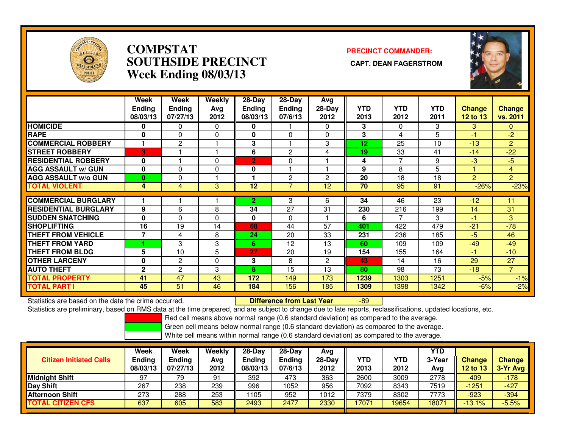

## **COMPSTAT PRECINCT COMMANDER: SOUTHSIDE PRECINCT CAPT. DEAN FAGERSTROMWeek Ending 08/03/13**



|                             | Week<br><b>Ending</b><br>08/03/13 | Week<br><b>Ending</b><br>07/27/13 | Weekly<br>Avg<br>2012 | $28-Day$<br><b>Ending</b><br>08/03/13 | 28-Day<br>Ending<br>07/6/13 | Avg<br>$28-Day$<br>2012 | <b>YTD</b><br>2013 | <b>YTD</b><br>2012 | <b>YTD</b><br>2011 | <b>Change</b><br><b>12 to 13</b> | <b>Change</b><br>vs. 2011 |
|-----------------------------|-----------------------------------|-----------------------------------|-----------------------|---------------------------------------|-----------------------------|-------------------------|--------------------|--------------------|--------------------|----------------------------------|---------------------------|
| <b>HOMICIDE</b>             | 0                                 | 0                                 | $\mathbf{0}$          | 0                                     |                             | $\Omega$                | 3                  | $\Omega$           | 3                  | 3                                | $\mathbf{0}$              |
| <b>RAPE</b>                 | 0                                 | $\Omega$                          | 0                     | <sup>0</sup>                          | $\Omega$                    | $\mathbf{0}$            | 3                  | 4                  | 5                  | -1                               | $-2$                      |
| <b>COMMERCIAL ROBBERY</b>   |                                   | $\overline{c}$                    |                       | 3                                     |                             | 3                       | 12                 | 25                 | 10                 | $-13$                            | $\overline{2}$            |
| <b>STREET ROBBERY</b>       | 3                                 |                                   |                       | 6                                     | $\overline{2}$              | 4                       | 19                 | 33                 | 41                 | $-14$                            | $-22$                     |
| <b>RESIDENTIAL ROBBERY</b>  | 0                                 |                                   | 0                     | $\overline{2}$                        | 0                           |                         | 4                  | 7                  | 9                  | $-3$                             | $-5$                      |
| <b>AGG ASSAULT w/ GUN</b>   | $\mathbf 0$                       | $\Omega$                          | 0                     | 0                                     |                             |                         | 9                  | 8                  | 5                  |                                  | $\overline{4}$            |
| <b>AGG ASSAULT w/o GUN</b>  | 0                                 | 0                                 |                       |                                       | 2                           | 2                       | 20                 | 18                 | 18                 | $\overline{2}$                   | $\overline{2}$            |
| <b>TOTAL VIOLENT</b>        | 4                                 | 4                                 | 3                     | 12                                    | 7                           | 12 <sup>2</sup>         | 70                 | 95                 | 91                 | $-26%$                           | $-23%$                    |
|                             |                                   |                                   |                       |                                       |                             |                         |                    |                    |                    |                                  |                           |
| <b>COMMERCIAL BURGLARY</b>  |                                   |                                   |                       | $\overline{2}$                        | 3                           | 6                       | 34                 | 46                 | $\overline{23}$    | $-12$                            | 11                        |
| <b>RESIDENTIAL BURGLARY</b> | 9                                 | 6                                 | 8                     | 34                                    | 27                          | 31                      | 230                | 216                | 199                | 14                               | 31                        |
| <b>SUDDEN SNATCHING</b>     | 0                                 | $\Omega$                          | $\mathbf{0}$          | 0                                     | 0                           |                         | 6                  | 7                  | 3                  | $-1$                             | 3                         |
| <b>SHOPLIFTING</b>          | 16                                | 19                                | 14                    | 68                                    | 44                          | 57                      | 401                | 422                | 479                | $-21$                            | $-78$                     |
| <b>THEFT FROM VEHICLE</b>   | $\overline{\phantom{a}}$          | 4                                 | 8                     | 24                                    | 20                          | 33                      | 231                | 236                | 185                | $-5$                             | 46                        |
| <b>THEFT FROM YARD</b>      |                                   | 3                                 | 3                     | 6                                     | 12                          | 13                      | 60                 | 109                | 109                | $-49$                            | $-49$                     |
| <b>THEFT FROM BLDG</b>      | 5                                 | 10                                | 5                     | 27                                    | 20                          | 19                      | 154                | 155                | 164                | -1                               | $-10$                     |
| <b>OTHER LARCENY</b>        | 0                                 | $\overline{2}$                    | $\mathbf 0$           | 3                                     | 8                           | 2                       | 43                 | 14                 | 16                 | 29                               | 27                        |
| <b>AUTO THEFT</b>           | $\overline{2}$                    | $\overline{2}$                    | 3                     | 8                                     | 15                          | 13                      | 80                 | 98                 | 73                 | $-18$                            | $\overline{7}$            |
| TOTAL PROPERTY              | 41                                | 47                                | 43                    | 172                                   | 149                         | 173                     | 1239               | 1303               | 1251               | $-5%$                            | $-1%$                     |
| <b>TOTAL PART I</b>         | 45                                | 51                                | 46                    | 184                                   | 156                         | 185                     | 1309               | 1398               | 1342               | $-6%$                            | $-2%$                     |

Statistics are based on the date the crime occurred. **Difference from Last Year** 

Statistics are based on the date the crime occurred. **Externee the Difference from Last Year Theore 199** Polostications, updated locations, etc.<br>Statistics are preliminary, based on RMS data at the time prepared, and are s

Red cell means above normal range (0.6 standard deviation) as compared to the average.

Green cell means below normal range (0.6 standard deviation) as compared to the average.

| <b>Citizen Initiated Calls</b> | Week<br>Ending<br>08/03/13 | Week<br>Ending<br>07/27/13 | Weekly<br>Avg<br>2012 | $28-Day$<br><b>Ending</b><br>08/03/13 | 28-Dav<br><b>Ending</b><br>07/6/13 | Avg<br>$28-Day$<br>2012 | YTD<br>2013 | YTD<br>2012 | YTD<br>3-Year<br>Avg | <b>Change</b><br>12 to 13 | <b>Change</b><br>3-Yr Avg |
|--------------------------------|----------------------------|----------------------------|-----------------------|---------------------------------------|------------------------------------|-------------------------|-------------|-------------|----------------------|---------------------------|---------------------------|
| <b>Midnight Shift</b>          | 97                         | 79                         | 91                    | 392                                   | 473                                | 363                     | 2600        | 3009        | 2778                 | -409                      | $-178$                    |
| Day Shift                      | 267                        | 238                        | 239                   | 996                                   | 1052                               | 956                     | 7092        | 8343        | 7519                 | $-1251$                   | $-427$                    |
| <b>Afternoon Shift</b>         | 273                        | 288                        | 253                   | 1105                                  | 952                                | 1012                    | 7379        | 8302        | 7773                 | -923                      | $-394$                    |
| <b>TOTAL CITIZEN CFS</b>       | 637                        | 605                        | 583                   | 2493                                  | 2477                               | 2330                    | 17071       | 19654       | 18071                | $-13.1%$                  | $-5.5%$                   |